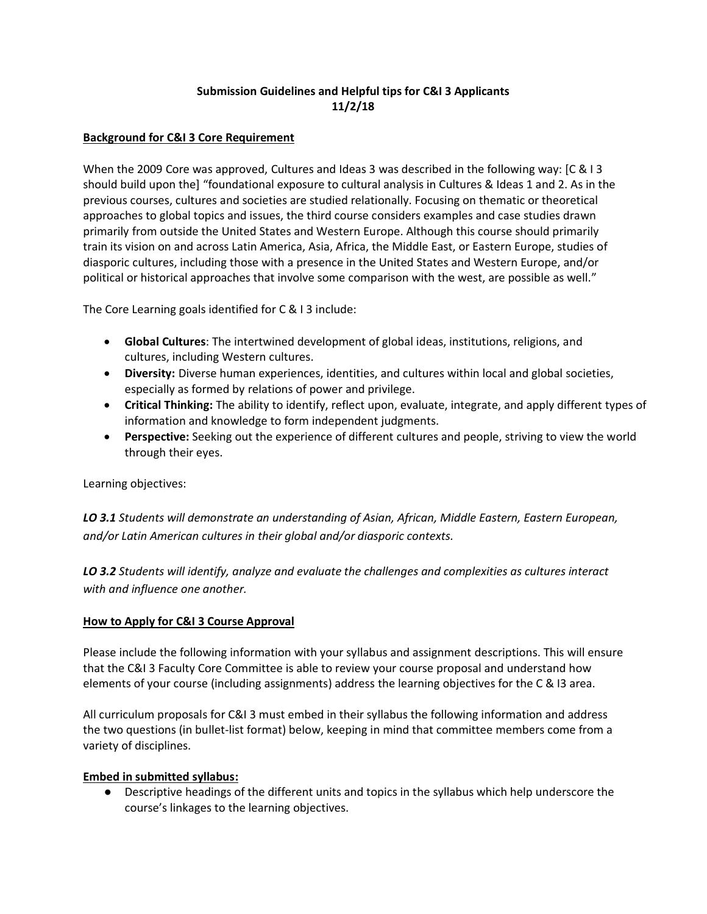# **Submission Guidelines and Helpful tips for C&I 3 Applicants 11/2/18**

## **Background for C&I 3 Core Requirement**

When the 2009 Core was approved, Cultures and Ideas 3 was described in the following way: [C & I 3 should build upon the] "foundational exposure to cultural analysis in Cultures & Ideas 1 and 2. As in the previous courses, cultures and societies are studied relationally. Focusing on thematic or theoretical approaches to global topics and issues, the third course considers examples and case studies drawn primarily from outside the United States and Western Europe. Although this course should primarily train its vision on and across Latin America, Asia, Africa, the Middle East, or Eastern Europe, studies of diasporic cultures, including those with a presence in the United States and Western Europe, and/or political or historical approaches that involve some comparison with the west, are possible as well."

The Core Learning goals identified for C & I 3 include:

- **Global Cultures**: The intertwined development of global ideas, institutions, religions, and cultures, including Western cultures.
- **Diversity:** Diverse human experiences, identities, and cultures within local and global societies, especially as formed by relations of power and privilege.
- **Critical Thinking:** The ability to identify, reflect upon, evaluate, integrate, and apply different types of information and knowledge to form independent judgments.
- **Perspective:** Seeking out the experience of different cultures and people, striving to view the world through their eyes.

Learning objectives:

*LO 3.1 Students will demonstrate an understanding of Asian, African, Middle Eastern, Eastern European, and/or Latin American cultures in their global and/or diasporic contexts.*

*LO 3.2 Students will identify, analyze and evaluate the challenges and complexities as cultures interact with and influence one another.* 

# **How to Apply for C&I 3 Course Approval**

Please include the following information with your syllabus and assignment descriptions. This will ensure that the C&I 3 Faculty Core Committee is able to review your course proposal and understand how elements of your course (including assignments) address the learning objectives for the C & I3 area.

All curriculum proposals for C&I 3 must embed in their syllabus the following information and address the two questions (in bullet-list format) below, keeping in mind that committee members come from a variety of disciplines.

### **Embed in submitted syllabus:**

● Descriptive headings of the different units and topics in the syllabus which help underscore the course's linkages to the learning objectives.